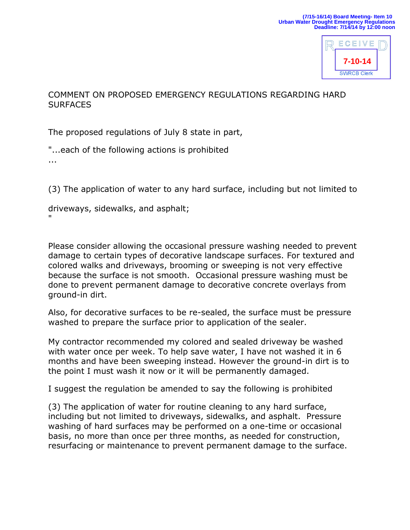

## COMMENT ON PROPOSED EMERGENCY REGULATIONS REGARDING HARD **SURFACES**

The proposed regulations of July 8 state in part,

"...each of the following actions is prohibited ...

(3) The application of water to any hard surface, including but not limited to

driveways, sidewalks, and asphalt; "

Please consider allowing the occasional pressure washing needed to prevent damage to certain types of decorative landscape surfaces. For textured and colored walks and driveways, brooming or sweeping is not very effective because the surface is not smooth. Occasional pressure washing must be done to prevent permanent damage to decorative concrete overlays from ground-in dirt.

Also, for decorative surfaces to be re-sealed, the surface must be pressure washed to prepare the surface prior to application of the sealer.

My contractor recommended my colored and sealed driveway be washed with water once per week. To help save water, I have not washed it in 6 months and have been sweeping instead. However the ground-in dirt is to the point I must wash it now or it will be permanently damaged.

I suggest the regulation be amended to say the following is prohibited

(3) The application of water for routine cleaning to any hard surface, including but not limited to driveways, sidewalks, and asphalt. Pressure washing of hard surfaces may be performed on a one-time or occasional basis, no more than once per three months, as needed for construction, resurfacing or maintenance to prevent permanent damage to the surface.